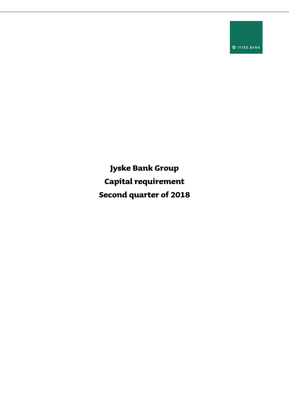**O** JYSKE BANK

**Jyske Bank Group Capital requirement Second quarter of 2018**